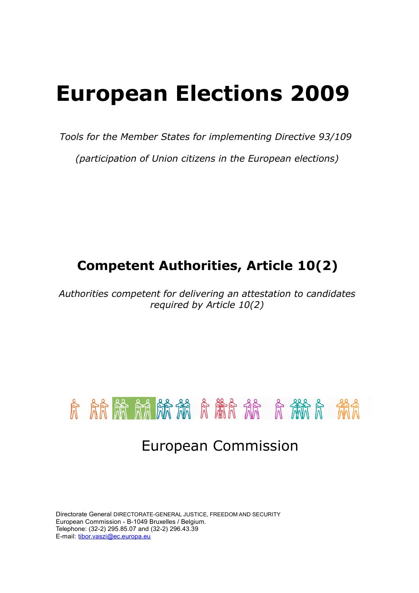# **European Elections 2009**

*Tools for the Member States for implementing Directive 93/109*

*(participation of Union citizens in the European elections)*

# **Competent Authorities, Article 10(2)**

*Authorities competent for delivering an attestation to candidates required by Article 10(2)*



Directorate General DIRECTORATE-GENERAL JUSTICE, FREEDOM AND SECURITY European Commission - B-1049 Bruxelles / Belgium. Telephone: (32-2) 295.85.07 and (32-2) 296.43.39 E-mail: [tibor.vaszi@ec.europa.eu](mailto:tibor.vaszi@ec.europa.eu)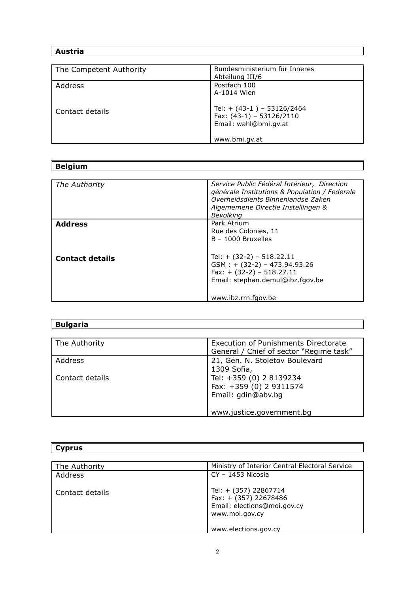## **Austria**

| The Competent Authority | Bundesministerium für Inneres                                                       |
|-------------------------|-------------------------------------------------------------------------------------|
|                         | Abteilung III/6                                                                     |
| Address                 | Postfach 100                                                                        |
|                         | A-1014 Wien                                                                         |
| Contact details         | Tel: $+$ (43-1) - 53126/2464<br>Fax: $(43-1) - 53126/2110$<br>Email: wahl@bmi.gv.at |
|                         | www.bmi.gv.at                                                                       |

# **Belgium**

| The Authority          | Service Public Fédéral Intérieur, Direction   |
|------------------------|-----------------------------------------------|
|                        | générale Institutions & Population / Federale |
|                        | Overheidsdients Binnenlandse Zaken            |
|                        | Algememene Directie Instellingen &            |
|                        |                                               |
|                        | Bevolking                                     |
| <b>Address</b>         | Park Atrium                                   |
|                        | Rue des Colonies, 11                          |
|                        | $B - 1000$ Bruxelles                          |
|                        |                                               |
|                        |                                               |
| <b>Contact details</b> | Tel: $+$ (32-2) - 518.22.11                   |
|                        | $GSM : + (32-2) - 473.94.93.26$               |
|                        |                                               |
|                        | $Fax: + (32-2) - 518.27.11$                   |
|                        | Email: stephan.demul@ibz.fgov.be              |
|                        |                                               |
|                        |                                               |
|                        | www.ibz.rrn.fgov.be                           |

| <b>Bulgaria</b> |                                                                                 |  |
|-----------------|---------------------------------------------------------------------------------|--|
|                 |                                                                                 |  |
| The Authority   | Execution of Punishments Directorate<br>General / Chief of sector "Regime task" |  |
| Address         | 21, Gen. N. Stoletov Boulevard<br>1309 Sofia,                                   |  |
| Contact details | Tel: +359 (0) 2 8139234<br>Fax: +359 (0) 2 9311574<br>Email: gdin@abv.bg        |  |
|                 | www.justice.government.bq                                                       |  |

| <b>Cyprus</b>   |                                                                                                 |  |
|-----------------|-------------------------------------------------------------------------------------------------|--|
|                 |                                                                                                 |  |
| The Authority   | Ministry of Interior Central Electoral Service                                                  |  |
| Address         | $CY - 1453$ Nicosia                                                                             |  |
| Contact details | Tel: + (357) 22867714<br>Fax: + (357) 22678486<br>Email: elections@moi.gov.cy<br>www.moi.gov.cy |  |
|                 | www.elections.gov.cy                                                                            |  |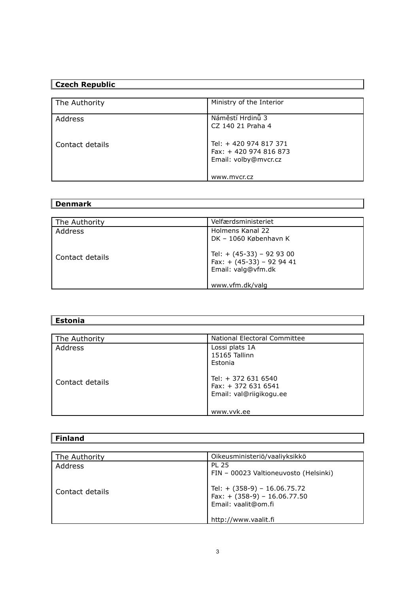## **Czech Republic**

| The Authority   | Ministry of the Interior                        |
|-----------------|-------------------------------------------------|
|                 |                                                 |
| Address         | Náměstí Hrdinů 3                                |
|                 | CZ 140 21 Praha 4                               |
|                 |                                                 |
| Contact details | Tel: + 420 974 817 371<br>Fax: +420 974 816 873 |
|                 | Email: volby@mvcr.cz                            |
|                 |                                                 |
|                 |                                                 |
|                 | www.mycr.cz                                     |

#### **Denmark**

| The Authority   | Velfærdsministeriet                                                            |
|-----------------|--------------------------------------------------------------------------------|
| Address         | Holmens Kanal 22<br>DK - 1060 København K                                      |
| Contact details | Tel: + (45-33) - 92 93 00<br>Fax: $+$ (45-33) - 92 94 41<br>Email: valg@vfm.dk |
|                 | www.vfm.dk/valg                                                                |

| <b>Estonia</b>  |                                                                                     |  |
|-----------------|-------------------------------------------------------------------------------------|--|
|                 |                                                                                     |  |
| The Authority   | National Electoral Committee                                                        |  |
| Address         | Lossi plats 1A<br>15165 Tallinn<br>Estonia                                          |  |
| Contact details | Tel: + 372 631 6540<br>Fax: $+ 3726316541$<br>Email: val@riigikogu.ee<br>www.vvk.ee |  |

| المحاملات<br><u>rinianu</u> |  |  |  |
|-----------------------------|--|--|--|
|                             |  |  |  |

| The Authority   | Oikeusministeriö/vaaliyksikkö                                                           |
|-----------------|-----------------------------------------------------------------------------------------|
| Address         | <b>PL 25</b><br>FIN - 00023 Valtioneuvosto (Helsinki)                                   |
| Contact details | Tel: $+$ (358-9) - 16.06.75.72<br>Fax: $+$ (358-9) - 16.06.77.50<br>Email: vaalit@om.fi |
|                 | http://www.vaalit.fi                                                                    |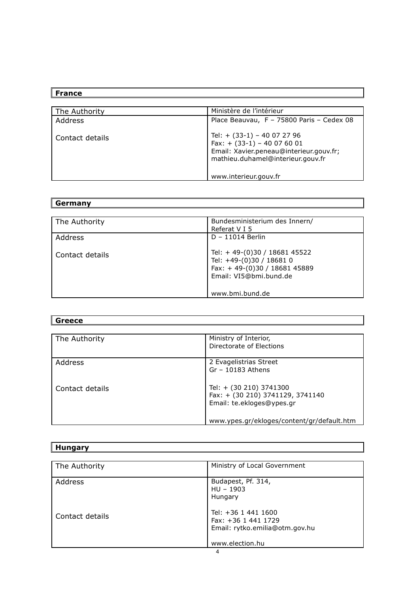#### **France**

| The Authority   | Ministère de l'intérieur                                                                                                                       |
|-----------------|------------------------------------------------------------------------------------------------------------------------------------------------|
| Address         | Place Beauvau, F - 75800 Paris - Cedex 08                                                                                                      |
| Contact details | Tel: $+$ (33-1) - 40 07 27 96<br>Fax: $+$ (33-1) - 40 07 60 01<br>Email: Xavier.peneau@interieur.gouv.fr;<br>mathieu.duhamel@interieur.gouv.fr |
|                 | www.interieur.gouv.fr                                                                                                                          |

# **Germany**

| The Authority   | Bundesministerium des Innern/<br>Referat V I 5                                                                     |
|-----------------|--------------------------------------------------------------------------------------------------------------------|
| Address         | $D - 11014$ Berlin                                                                                                 |
| Contact details | Tel: +49-(0)30 / 18681 45522<br>Tel: +49-(0)30 / 18681 0<br>Fax: +49-(0)30 / 18681 45889<br>Email: VI5@bmi.bund.de |
|                 | www.bmi.bund.de                                                                                                    |

 $\overline{1}$ 

| <b>Greece</b>   |                                            |  |
|-----------------|--------------------------------------------|--|
|                 |                                            |  |
| The Authority   | Ministry of Interior,                      |  |
|                 | Directorate of Elections                   |  |
|                 |                                            |  |
| Address         | 2 Evagelistrias Street                     |  |
|                 | $Gr - 10183$ Athens                        |  |
|                 |                                            |  |
| Contact details | Tel: + (30 210) 3741300                    |  |
|                 | Fax: + (30 210) 3741129, 3741140           |  |
|                 | Email: te.ekloges@ypes.gr                  |  |
|                 |                                            |  |
|                 | www.ypes.gr/ekloges/content/gr/default.htm |  |

| <b>Hungary</b>  |                                |
|-----------------|--------------------------------|
|                 |                                |
| The Authority   | Ministry of Local Government   |
|                 |                                |
| Address         | Budapest, Pf. 314,             |
|                 | $HU - 1903$                    |
|                 | Hungary                        |
|                 | Tel: +36 1 441 1600            |
| Contact details | Fax: +36 1 441 1729            |
|                 | Email: rytko.emilia@otm.gov.hu |
|                 |                                |
|                 | www.election.hu                |
|                 | $\overline{A}$                 |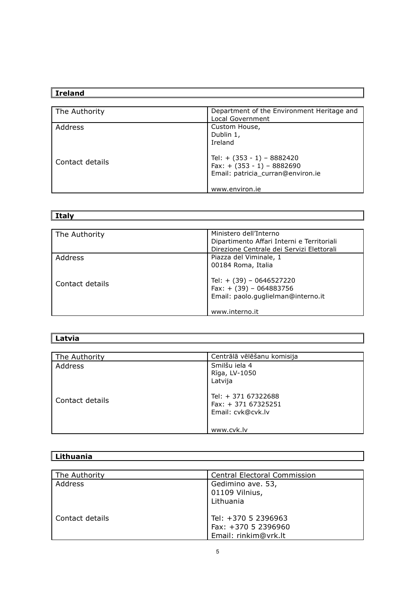## **Ireland**

| The Authority   | Department of the Environment Heritage and |
|-----------------|--------------------------------------------|
|                 | Local Government                           |
| Address         | Custom House,                              |
|                 | Dublin 1,                                  |
|                 | Ireland                                    |
|                 |                                            |
| Contact details | Tel: $+$ (353 - 1) - 8882420               |
|                 | Fax: $+$ (353 - 1) - 8882690               |
|                 | Email: patricia_curran@environ.ie          |
|                 |                                            |
|                 | www.environ.ie                             |

**Italy**

| The Authority   | Ministero dell'Interno<br>Dipartimento Affari Interni e Territoriali<br>Direzione Centrale dei Servizi Elettorali |
|-----------------|-------------------------------------------------------------------------------------------------------------------|
| Address         | Piazza del Viminale, 1<br>00184 Roma, Italia                                                                      |
| Contact details | Tel: $+$ (39) - 0646527220<br>Fax: $+$ (39) - 064883756<br>Email: paolo.quglielman@interno.it<br>www.interno.it   |

| Latvia |  |
|--------|--|
|        |  |

| The Authority   | Centrālā vēlēšanu komisija                                       |
|-----------------|------------------------------------------------------------------|
| Address         | Smilšu iela 4<br>Rīga, LV-1050<br>Latvija                        |
| Contact details | Tel: + 371 67322688<br>$Fax: + 37167325251$<br>Email: cvk@cvk.lv |
|                 | www.cvk.lv                                                       |

| The Authority   | <b>Central Electoral Commission</b> |
|-----------------|-------------------------------------|
| Address         | Gedimino ave. 53,                   |
|                 | 01109 Vilnius,                      |
|                 | Lithuania                           |
| Contact details | Tel: +370 5 2396963                 |
|                 | Fax: +370 5 2396960                 |
|                 | Email: rinkim@vrk.lt                |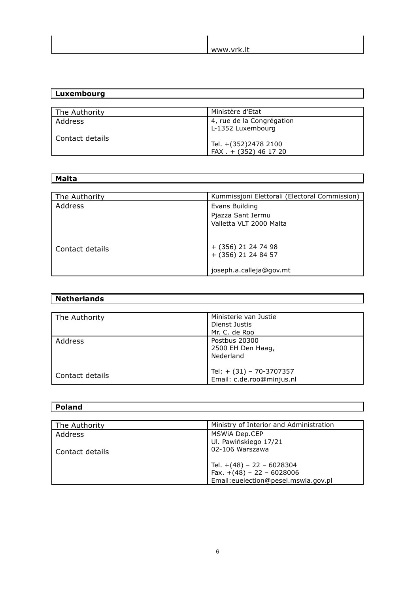| -14<br>www.<br>' ∨rk.l∟ |
|-------------------------|

| Luxembourg        |                                                |
|-------------------|------------------------------------------------|
|                   |                                                |
| The Authority     | Ministère d'Etat                               |
| Address           | 4, rue de la Congrégation<br>L-1352 Luxembourg |
| l Contact details | Tel. +(352)2478 2100<br>FAX . + (352) 46 17 20 |

| <b>Malta</b>    |                                               |
|-----------------|-----------------------------------------------|
|                 |                                               |
| The Authority   | Kummissjoni Elettorali (Electoral Commission) |
| Address         | Evans Building                                |
|                 | Pjazza Sant Iermu                             |
|                 | Valletta VLT 2000 Malta                       |
|                 |                                               |
|                 | + (356) 21 24 74 98                           |
| Contact details | + (356) 21 24 84 57                           |
|                 |                                               |
|                 | joseph.a.calleja@gov.mt                       |

| <b>Netherlands</b> |                                                       |
|--------------------|-------------------------------------------------------|
| The Authority      | Ministerie van Justie                                 |
|                    | Dienst Justis                                         |
|                    | Mr. C. de Roo                                         |
| Address            | Postbus 20300<br>2500 EH Den Haag,<br>Nederland       |
| Contact details    | Tel: + (31) - 70-3707357<br>Email: c.de.roo@minjus.nl |

 $\overline{\mathbb{I}}$ 

 $\mathbb{I}$ 

| <b>Poland</b>   |                                         |
|-----------------|-----------------------------------------|
|                 |                                         |
| The Authority   | Ministry of Interior and Administration |
| Address         | MSWIA Dep.CEP                           |
|                 | Ul. Pawińskiego 17/21                   |
| Contact details | 02-106 Warszawa                         |
|                 |                                         |
|                 | Tel. $+(48) - 22 - 6028304$             |
|                 | Fax. $+(48) - 22 - 6028006$             |
|                 | Email:euelection@pesel.mswia.gov.pl     |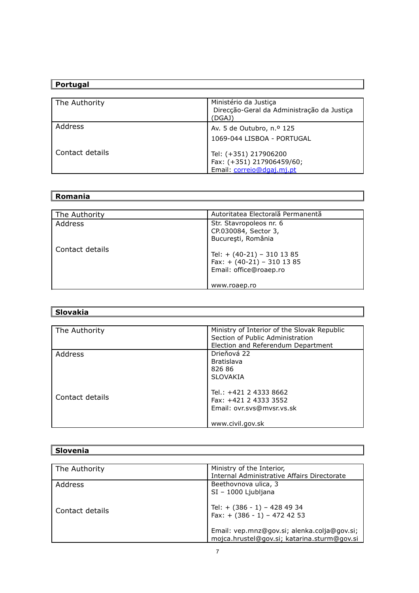| Portugal        |                                                                               |
|-----------------|-------------------------------------------------------------------------------|
|                 |                                                                               |
| The Authority   | Ministério da Justiça<br>Direcção-Geral da Administração da Justiça<br>(DGAJ) |
| Address         | Av. 5 de Outubro, n.º 125                                                     |
|                 | 1069-044 LISBOA - PORTUGAL                                                    |
| Contact details | Tel: (+351) 217906200                                                         |
|                 | Fax: (+351) 217906459/60;                                                     |
|                 | Email: correio@dgaj.mj.pt                                                     |

#### **Romania**

| The Authority   | Autoritatea Electorală Permanentă                                                      |
|-----------------|----------------------------------------------------------------------------------------|
| Address         | Str. Stavropoleos nr. 6<br>CP.030084, Sector 3,<br>București, România                  |
| Contact details | Tel: $+$ (40-21) - 310 13 85<br>Fax: $+$ (40-21) - 310 13 85<br>Email: office@roaep.ro |
|                 | www.roaep.ro                                                                           |

| Slovakia        |                                             |
|-----------------|---------------------------------------------|
|                 |                                             |
| The Authority   | Ministry of Interior of the Slovak Republic |
|                 | Section of Public Administration            |
|                 | Election and Referendum Department          |
| Address         | Drieňová 22                                 |
|                 | <b>Bratislava</b>                           |
|                 | 826 86                                      |
|                 | SI OVAKIA                                   |
|                 | Tel.: +421 2 4333 8662                      |
| Contact details | Fax: +421 2 4333 3552                       |
|                 | Email: ovr.svs@mvsr.vs.sk                   |
|                 | www.civil.gov.sk                            |

| Slovenia        |                                             |
|-----------------|---------------------------------------------|
|                 |                                             |
| The Authority   | Ministry of the Interior,                   |
|                 | Internal Administrative Affairs Directorate |
| Address         | Beethovnova ulica, 3                        |
|                 | $SI - 1000$ Ljubljana                       |
|                 | Tel: + (386 - 1) - 428 49 34                |
| Contact details | Fax: $+$ (386 - 1) - 472 42 53              |
|                 |                                             |
|                 | Email: vep.mnz@gov.si; alenka.colja@gov.si; |
|                 | mojca.hrustel@gov.si; katarina.sturm@gov.si |